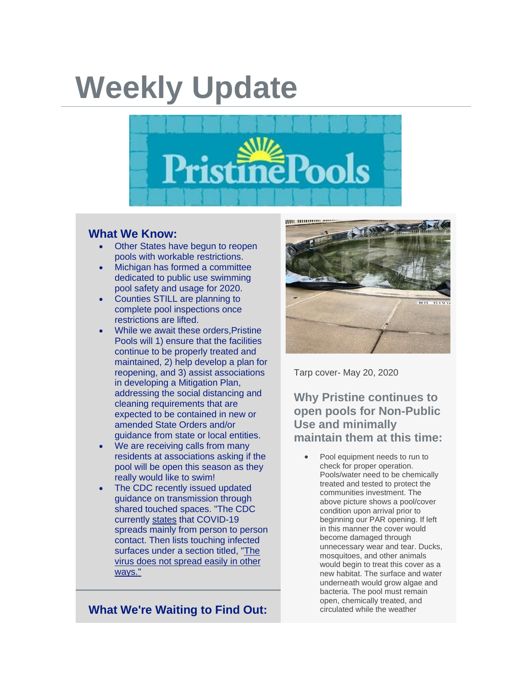## **Weekly Update**



## **What We Know:**

- Other States have begun to reopen pools with workable restrictions.
- Michigan has formed a committee dedicated to public use swimming pool safety and usage for 2020.
- Counties STILL are planning to complete pool inspections once restrictions are lifted.
- While we await these orders. Pristine Pools will 1) ensure that the facilities continue to be properly treated and maintained, 2) help develop a plan for reopening, and 3) assist associations in developing a Mitigation Plan, addressing the social distancing and cleaning requirements that are expected to be contained in new or amended State Orders and/or guidance from state or local entities.
- We are receiving calls from many residents at associations asking if the pool will be open this season as they really would like to swim!
- The CDC recently issued updated guidance on transmission through shared touched spaces. "The CDC currently [states](http://r20.rs6.net/tn.jsp?f=001AMpPnStA-9wo5CCZ8lfd5P_wQXtafZQMXC_AEi4FZYGMAyPiymUm8cHuTqZZjkrwJBcYNp_pKsFbMv8ZHZ6IIiSEasD0BNNZ3NVF3f2TBlH-hQ0pdCRbEXI-iMVDC66BRQsORehbjI5ymkmbUj50O7x_5mYSUMyHOWgCs2Y72jXN9IiCXzq_yz6JVmQuP7ujT4fFpr8ayHbRpjD4ILhhRoVpk-SSTWbV3TUw3XJJd0k=&c=ShirXqoqNfQZ7UB9TkS6mUzTF0lnIE2xa_8UOaUPd_vM9AghpLnZJg==&ch=Mukui9ufFLPINvq4ltq76XKg47XDd_LEQUR5l8klm5S7o2IXbHZylA==) that COVID-19 spreads mainly from person to person contact. Then lists touching infected surfaces under a section titled, "The virus does not spread easily in other ways."

**What We're Waiting to Find Out:**



Tarp cover- May 20, 2020

**Why Pristine continues to open pools for Non-Public Use and minimally maintain them at this time:**

• Pool equipment needs to run to check for proper operation. Pools/water need to be chemically treated and tested to protect the communities investment. The above picture shows a pool/cover condition upon arrival prior to beginning our PAR opening. If left in this manner the cover would become damaged through unnecessary wear and tear. Ducks, mosquitoes, and other animals would begin to treat this cover as a new habitat. The surface and water underneath would grow algae and bacteria. The pool must remain open, chemically treated, and circulated while the weather